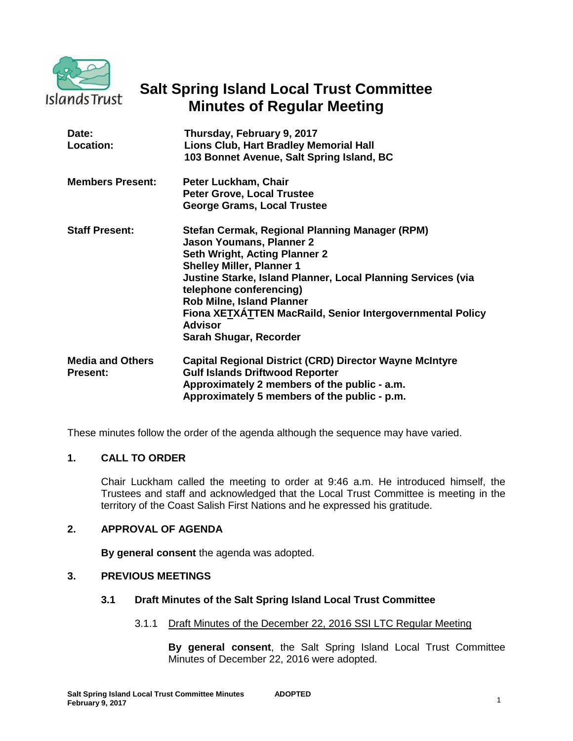

# **Salt Spring Island Local Trust Committee Minutes of Regular Meeting**

| Date:<br>Location:                         | Thursday, February 9, 2017<br>Lions Club, Hart Bradley Memorial Hall<br>103 Bonnet Avenue, Salt Spring Island, BC                                                                                                                                                                                                                                                                              |
|--------------------------------------------|------------------------------------------------------------------------------------------------------------------------------------------------------------------------------------------------------------------------------------------------------------------------------------------------------------------------------------------------------------------------------------------------|
| <b>Members Present:</b>                    | Peter Luckham, Chair<br><b>Peter Grove, Local Trustee</b><br><b>George Grams, Local Trustee</b>                                                                                                                                                                                                                                                                                                |
| <b>Staff Present:</b>                      | Stefan Cermak, Regional Planning Manager (RPM)<br><b>Jason Youmans, Planner 2</b><br>Seth Wright, Acting Planner 2<br><b>Shelley Miller, Planner 1</b><br>Justine Starke, Island Planner, Local Planning Services (via<br>telephone conferencing)<br><b>Rob Milne, Island Planner</b><br>Fiona XETXATTEN MacRaild, Senior Intergovernmental Policy<br><b>Advisor</b><br>Sarah Shugar, Recorder |
| <b>Media and Others</b><br><b>Present:</b> | <b>Capital Regional District (CRD) Director Wayne McIntyre</b><br><b>Gulf Islands Driftwood Reporter</b><br>Approximately 2 members of the public - a.m.<br>Approximately 5 members of the public - p.m.                                                                                                                                                                                       |

These minutes follow the order of the agenda although the sequence may have varied.

# **1. CALL TO ORDER**

Chair Luckham called the meeting to order at 9:46 a.m. He introduced himself, the Trustees and staff and acknowledged that the Local Trust Committee is meeting in the territory of the Coast Salish First Nations and he expressed his gratitude.

# **2. APPROVAL OF AGENDA**

**By general consent** the agenda was adopted.

# **3. PREVIOUS MEETINGS**

# **3.1 Draft Minutes of the Salt Spring Island Local Trust Committee**

# 3.1.1 Draft Minutes of the December 22, 2016 SSI LTC Regular Meeting

**By general consent**, the Salt Spring Island Local Trust Committee Minutes of December 22, 2016 were adopted.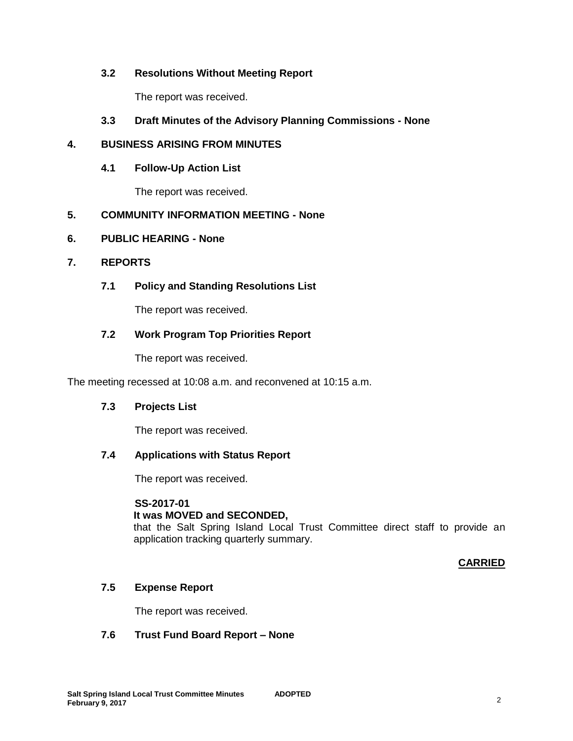# **3.2 Resolutions Without Meeting Report**

The report was received.

# **3.3 Draft Minutes of the Advisory Planning Commissions - None**

# **4. BUSINESS ARISING FROM MINUTES**

# **4.1 Follow-Up Action List**

The report was received.

# **5. COMMUNITY INFORMATION MEETING - None**

#### **6. PUBLIC HEARING - None**

#### **7. REPORTS**

# **7.1 Policy and Standing Resolutions List**

The report was received.

# **7.2 Work Program Top Priorities Report**

The report was received.

The meeting recessed at 10:08 a.m. and reconvened at 10:15 a.m.

# **7.3 Projects List**

The report was received.

# **7.4 Applications with Status Report**

The report was received.

#### **SS-2017-01**

# **It was MOVED and SECONDED,**

that the Salt Spring Island Local Trust Committee direct staff to provide an application tracking quarterly summary.

# **CARRIED**

# **7.5 Expense Report**

The report was received.

# **7.6 Trust Fund Board Report – None**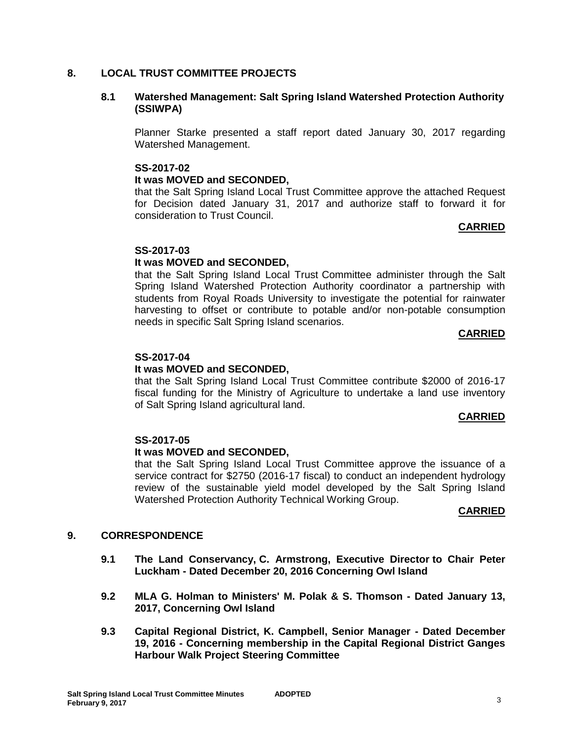### **8. LOCAL TRUST COMMITTEE PROJECTS**

#### **8.1 Watershed Management: Salt Spring Island Watershed Protection Authority (SSIWPA)**

Planner Starke presented a staff report dated January 30, 2017 regarding Watershed Management.

#### **SS-2017-02**

#### **It was MOVED and SECONDED,**

that the Salt Spring Island Local Trust Committee approve the attached Request for Decision dated January 31, 2017 and authorize staff to forward it for consideration to Trust Council.

#### **CARRIED**

#### **SS-2017-03**

#### **It was MOVED and SECONDED,**

that the Salt Spring Island Local Trust Committee administer through the Salt Spring Island Watershed Protection Authority coordinator a partnership with students from Royal Roads University to investigate the potential for rainwater harvesting to offset or contribute to potable and/or non-potable consumption needs in specific Salt Spring Island scenarios.

#### **CARRIED**

#### **SS-2017-04**

#### **It was MOVED and SECONDED,**

that the Salt Spring Island Local Trust Committee contribute \$2000 of 2016-17 fiscal funding for the Ministry of Agriculture to undertake a land use inventory of Salt Spring Island agricultural land.

#### **CARRIED**

#### **SS-2017-05**

#### **It was MOVED and SECONDED,**

that the Salt Spring Island Local Trust Committee approve the issuance of a service contract for \$2750 (2016-17 fiscal) to conduct an independent hydrology review of the sustainable yield model developed by the Salt Spring Island Watershed Protection Authority Technical Working Group.

#### **CARRIED**

# **9. CORRESPONDENCE**

- **9.1 The Land Conservancy, C. Armstrong, Executive Director to Chair Peter Luckham - Dated December 20, 2016 Concerning Owl Island**
- **9.2 MLA G. Holman to Ministers' M. Polak & S. Thomson - Dated January 13, 2017, Concerning Owl Island**
- **9.3 Capital Regional District, K. Campbell, Senior Manager - Dated December 19, 2016 - Concerning membership in the Capital Regional District Ganges Harbour Walk Project Steering Committee**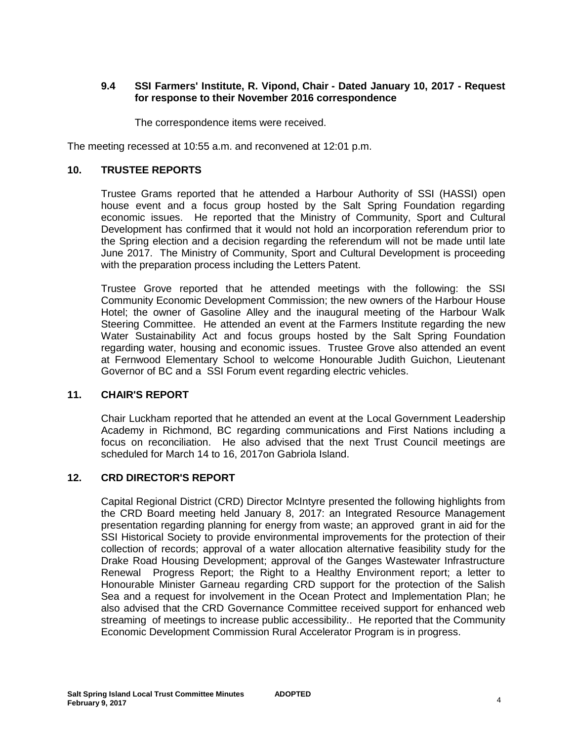### **9.4 SSI Farmers' Institute, R. Vipond, Chair - Dated January 10, 2017 - Request for response to their November 2016 correspondence**

The correspondence items were received.

The meeting recessed at 10:55 a.m. and reconvened at 12:01 p.m.

#### **10. TRUSTEE REPORTS**

Trustee Grams reported that he attended a Harbour Authority of SSI (HASSI) open house event and a focus group hosted by the Salt Spring Foundation regarding economic issues. He reported that the Ministry of Community, Sport and Cultural Development has confirmed that it would not hold an incorporation referendum prior to the Spring election and a decision regarding the referendum will not be made until late June 2017. The Ministry of Community, Sport and Cultural Development is proceeding with the preparation process including the Letters Patent.

Trustee Grove reported that he attended meetings with the following: the SSI Community Economic Development Commission; the new owners of the Harbour House Hotel; the owner of Gasoline Alley and the inaugural meeting of the Harbour Walk Steering Committee. He attended an event at the Farmers Institute regarding the new Water Sustainability Act and focus groups hosted by the Salt Spring Foundation regarding water, housing and economic issues. Trustee Grove also attended an event at Fernwood Elementary School to welcome Honourable Judith Guichon, Lieutenant Governor of BC and a SSI Forum event regarding electric vehicles.

#### **11. CHAIR'S REPORT**

Chair Luckham reported that he attended an event at the Local Government Leadership Academy in Richmond, BC regarding communications and First Nations including a focus on reconciliation. He also advised that the next Trust Council meetings are scheduled for March 14 to 16, 2017on Gabriola Island.

#### **12. CRD DIRECTOR'S REPORT**

Capital Regional District (CRD) Director McIntyre presented the following highlights from the CRD Board meeting held January 8, 2017: an Integrated Resource Management presentation regarding planning for energy from waste; an approved grant in aid for the SSI Historical Society to provide environmental improvements for the protection of their collection of records; approval of a water allocation alternative feasibility study for the Drake Road Housing Development; approval of the Ganges Wastewater Infrastructure Renewal Progress Report; the Right to a Healthy Environment report; a letter to Honourable Minister Garneau regarding CRD support for the protection of the Salish Sea and a request for involvement in the Ocean Protect and Implementation Plan; he also advised that the CRD Governance Committee received support for enhanced web streaming of meetings to increase public accessibility.. He reported that the Community Economic Development Commission Rural Accelerator Program is in progress.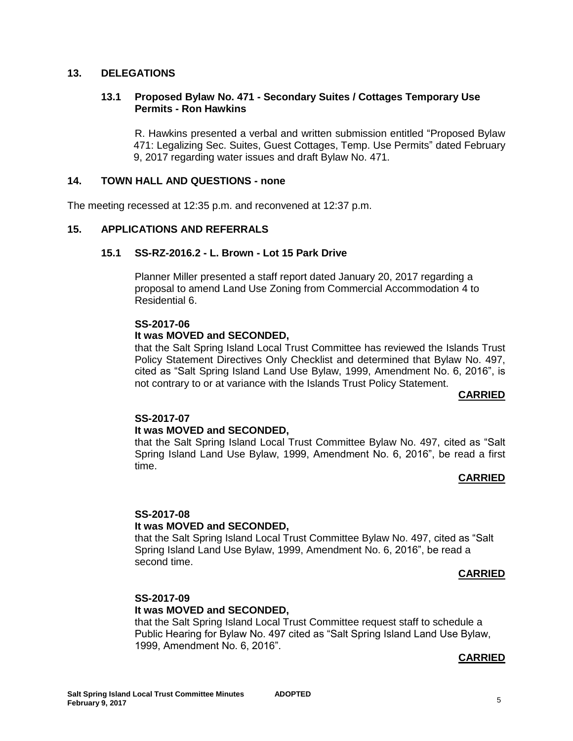#### **13. DELEGATIONS**

#### **13.1 Proposed Bylaw No. 471 - Secondary Suites / Cottages Temporary Use Permits - Ron Hawkins**

R. Hawkins presented a verbal and written submission entitled "Proposed Bylaw 471: Legalizing Sec. Suites, Guest Cottages, Temp. Use Permits" dated February 9, 2017 regarding water issues and draft Bylaw No. 471.

#### **14. TOWN HALL AND QUESTIONS - none**

The meeting recessed at 12:35 p.m. and reconvened at 12:37 p.m.

#### **15. APPLICATIONS AND REFERRALS**

#### **15.1 SS-RZ-2016.2 - L. Brown - Lot 15 Park Drive**

Planner Miller presented a staff report dated January 20, 2017 regarding a proposal to amend Land Use Zoning from Commercial Accommodation 4 to Residential 6.

#### **SS-2017-06**

#### **It was MOVED and SECONDED,**

that the Salt Spring Island Local Trust Committee has reviewed the Islands Trust Policy Statement Directives Only Checklist and determined that Bylaw No. 497, cited as "Salt Spring Island Land Use Bylaw, 1999, Amendment No. 6, 2016", is not contrary to or at variance with the Islands Trust Policy Statement.

#### **CARRIED**

#### **SS-2017-07**

#### **It was MOVED and SECONDED,**

that the Salt Spring Island Local Trust Committee Bylaw No. 497, cited as "Salt Spring Island Land Use Bylaw, 1999, Amendment No. 6, 2016", be read a first time.

#### **CARRIED**

# **SS-2017-08**

#### **It was MOVED and SECONDED,**

that the Salt Spring Island Local Trust Committee Bylaw No. 497, cited as "Salt Spring Island Land Use Bylaw, 1999, Amendment No. 6, 2016", be read a second time.

#### **CARRIED**

#### **SS-2017-09**

#### **It was MOVED and SECONDED,**

that the Salt Spring Island Local Trust Committee request staff to schedule a Public Hearing for Bylaw No. 497 cited as "Salt Spring Island Land Use Bylaw, 1999, Amendment No. 6, 2016".

#### **CARRIED**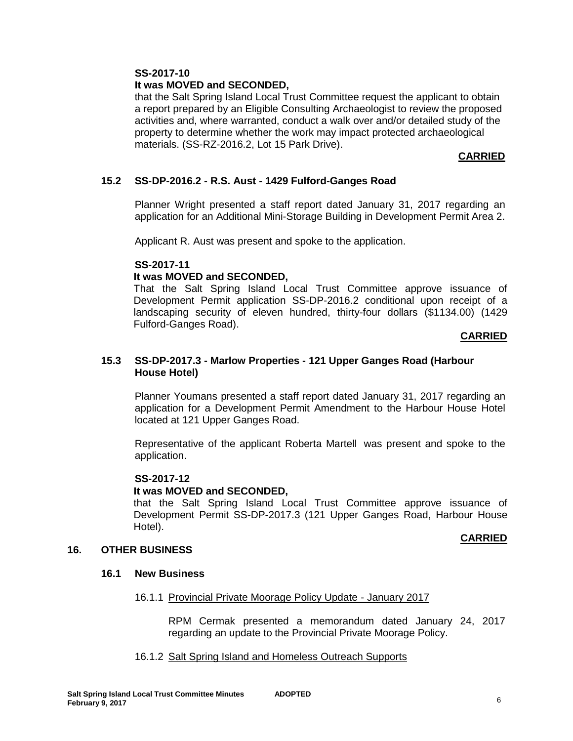#### **SS-2017-10**

### **It was MOVED and SECONDED,**

that the Salt Spring Island Local Trust Committee request the applicant to obtain a report prepared by an Eligible Consulting Archaeologist to review the proposed activities and, where warranted, conduct a walk over and/or detailed study of the property to determine whether the work may impact protected archaeological materials. (SS-RZ-2016.2, Lot 15 Park Drive).

# **CARRIED**

### **15.2 SS-DP-2016.2 - R.S. Aust - 1429 Fulford-Ganges Road**

Planner Wright presented a staff report dated January 31, 2017 regarding an application for an Additional Mini-Storage Building in Development Permit Area 2.

Applicant R. Aust was present and spoke to the application.

#### **SS-2017-11**

#### **It was MOVED and SECONDED,**

That the Salt Spring Island Local Trust Committee approve issuance of Development Permit application SS-DP-2016.2 conditional upon receipt of a landscaping security of eleven hundred, thirty-four dollars (\$1134.00) (1429 Fulford-Ganges Road).

#### **CARRIED**

### **15.3 SS-DP-2017.3 - Marlow Properties - 121 Upper Ganges Road (Harbour House Hotel)**

Planner Youmans presented a staff report dated January 31, 2017 regarding an application for a Development Permit Amendment to the Harbour House Hotel located at 121 Upper Ganges Road.

Representative of the applicant Roberta Martell was present and spoke to the application.

#### **SS-2017-12**

#### **It was MOVED and SECONDED,**

that the Salt Spring Island Local Trust Committee approve issuance of Development Permit SS-DP-2017.3 (121 Upper Ganges Road, Harbour House Hotel).

#### **CARRIED**

#### **16. OTHER BUSINESS**

#### **16.1 New Business**

#### 16.1.1 Provincial Private Moorage Policy Update - January 2017

RPM Cermak presented a memorandum dated January 24, 2017 regarding an update to the Provincial Private Moorage Policy.

#### 16.1.2 Salt Spring Island and Homeless Outreach Supports